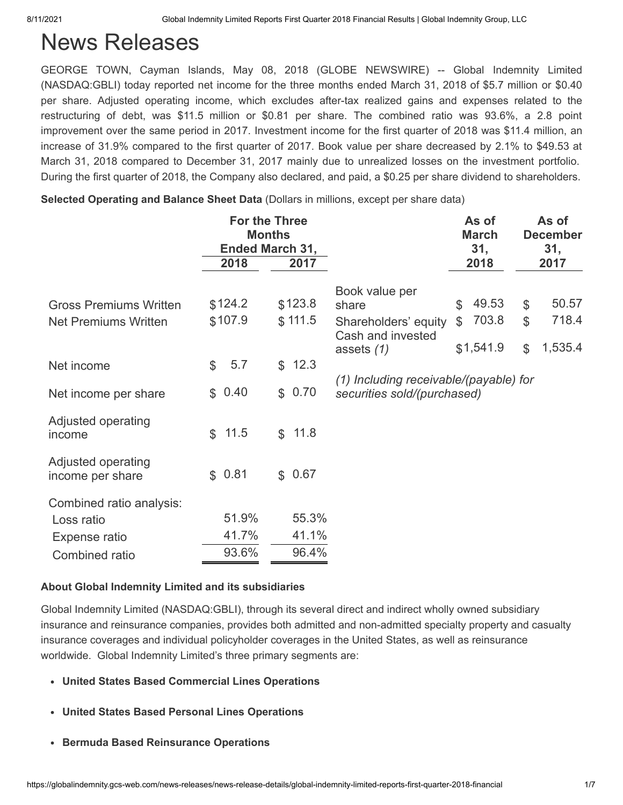# News Releases

GEORGE TOWN, Cayman Islands, May 08, 2018 (GLOBE NEWSWIRE) -- Global Indemnity Limited (NASDAQ:GBLI) today reported net income for the three months ended March 31, 2018 of \$5.7 million or \$0.40 per share. Adjusted operating income, which excludes after-tax realized gains and expenses related to the restructuring of debt, was \$11.5 million or \$0.81 per share. The combined ratio was 93.6%, a 2.8 point improvement over the same period in 2017. Investment income for the first quarter of 2018 was \$11.4 million, an increase of 31.9% compared to the first quarter of 2017. Book value per share decreased by 2.1% to \$49.53 at March 31, 2018 compared to December 31, 2017 mainly due to unrealized losses on the investment portfolio. During the first quarter of 2018, the Company also declared, and paid, a \$0.25 per share dividend to shareholders.

**Selected Operating and Balance Sheet Data** (Dollars in millions, except per share data)

|                                        |                    | <b>For the Three</b><br><b>Months</b><br><b>Ended March 31,</b> |                                                                       | As of<br><b>March</b><br>31, | As of<br><b>December</b><br>31, |
|----------------------------------------|--------------------|-----------------------------------------------------------------|-----------------------------------------------------------------------|------------------------------|---------------------------------|
|                                        | 2018               | 2017                                                            |                                                                       | 2018                         | 2017                            |
| <b>Gross Premiums Written</b>          | \$124.2            | \$123.8                                                         | Book value per<br>share                                               | 49.53<br>\$                  | 50.57<br>\$                     |
| <b>Net Premiums Written</b>            | \$107.9            | \$111.5                                                         | Shareholders' equity<br>Cash and invested                             | 703.8<br>$\mathfrak{L}$      | 718.4<br>$\mathfrak{P}$         |
| Net income                             | 5.7<br>$\mathbb S$ | \$12.3                                                          | assets $(1)$                                                          | \$1,541.9                    | 1,535.4<br>$\mathbb S$          |
| Net income per share                   | \$0.40             | \$0.70                                                          | (1) Including receivable/(payable) for<br>securities sold/(purchased) |                              |                                 |
| Adjusted operating<br>income           | \$11.5             | 11.8<br>$\mathbb{S}^-$                                          |                                                                       |                              |                                 |
| Adjusted operating<br>income per share | \$0.81             | \$0.67                                                          |                                                                       |                              |                                 |
| Combined ratio analysis:               |                    |                                                                 |                                                                       |                              |                                 |
| Loss ratio                             | 51.9%              | 55.3%                                                           |                                                                       |                              |                                 |
| Expense ratio                          | 41.7%              | 41.1%                                                           |                                                                       |                              |                                 |
| Combined ratio                         | 93.6%              | 96.4%                                                           |                                                                       |                              |                                 |

#### **About Global Indemnity Limited and its subsidiaries**

Global Indemnity Limited (NASDAQ:GBLI), through its several direct and indirect wholly owned subsidiary insurance and reinsurance companies, provides both admitted and non-admitted specialty property and casualty insurance coverages and individual policyholder coverages in the United States, as well as reinsurance worldwide. Global Indemnity Limited's three primary segments are:

- **United States Based Commercial Lines Operations**
- **United States Based Personal Lines Operations**
- **Bermuda Based Reinsurance Operations**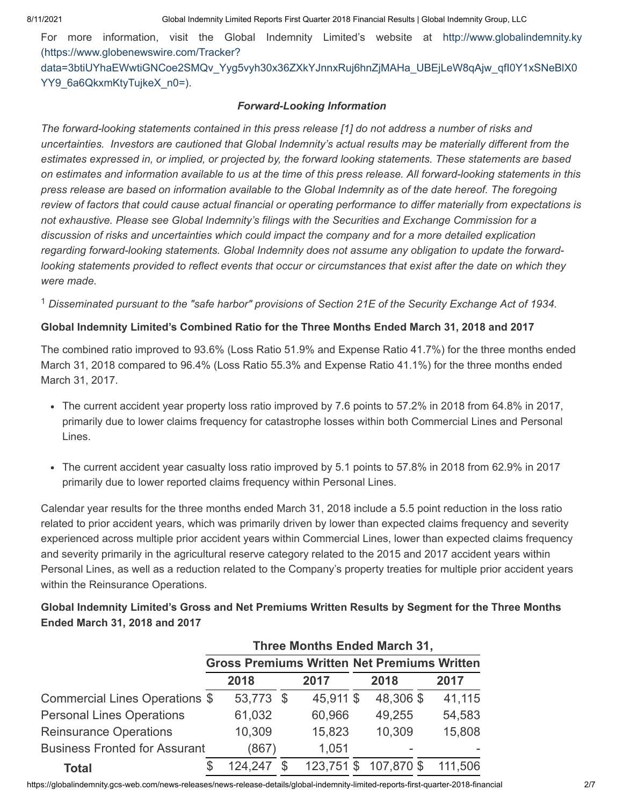For more information, visit the Global Indemnity Limited's website at http://www.globalindemnity.ky (https://www.globenewswire.com/Tracker?

[data=3btiUYhaEWwtiGNCoe2SMQv\\_Yyg5vyh30x36ZXkYJnnxRuj6hnZjMAHa\\_UBEjLeW8qAjw\\_qfI0Y1xSNeBlX0](https://www.globenewswire.com/Tracker?data=3btiUYhaEWwtiGNCoe2SMQv_Yyg5vyh30x36ZXkYJnnxRuj6hnZjMAHa_UBEjLeW8qAjw_qfI0Y1xSNeBlX0YY9_6a6QkxmKtyTujkeX_n0=) YY9\_6a6QkxmKtyTujkeX\_n0=).

#### *Forward-Looking Information*

*The forward-looking statements contained in this press release [1] do not address a number of risks and uncertainties. Investors are cautioned that Global Indemnity's actual results may be materially different from the estimates expressed in, or implied, or projected by, the forward looking statements. These statements are based on estimates and information available to us at the time of this press release. All forward-looking statements in this press release are based on information available to the Global Indemnity as of the date hereof. The foregoing review of factors that could cause actual financial or operating performance to differ materially from expectations is not exhaustive. Please see Global Indemnity's filings with the Securities and Exchange Commission for a discussion of risks and uncertainties which could impact the company and for a more detailed explication regarding forward-looking statements. Global Indemnity does not assume any obligation to update the forwardlooking statements provided to reflect events that occur or circumstances that exist after the date on which they were made.*

<sup>1</sup> Disseminated pursuant to the "safe harbor" provisions of Section 21E of the Security Exchange Act of 1934.

### **Global Indemnity Limited's Combined Ratio for the Three Months Ended March 31, 2018 and 2017**

The combined ratio improved to 93.6% (Loss Ratio 51.9% and Expense Ratio 41.7%) for the three months ended March 31, 2018 compared to 96.4% (Loss Ratio 55.3% and Expense Ratio 41.1%) for the three months ended March 31, 2017.

- The current accident year property loss ratio improved by 7.6 points to 57.2% in 2018 from 64.8% in 2017, primarily due to lower claims frequency for catastrophe losses within both Commercial Lines and Personal Lines.
- The current accident year casualty loss ratio improved by 5.1 points to 57.8% in 2018 from 62.9% in 2017 primarily due to lower reported claims frequency within Personal Lines.

Calendar year results for the three months ended March 31, 2018 include a 5.5 point reduction in the loss ratio related to prior accident years, which was primarily driven by lower than expected claims frequency and severity experienced across multiple prior accident years within Commercial Lines, lower than expected claims frequency and severity primarily in the agricultural reserve category related to the 2015 and 2017 accident years within Personal Lines, as well as a reduction related to the Company's property treaties for multiple prior accident years within the Reinsurance Operations.

### **Global Indemnity Limited's Gross and Net Premiums Written Results by Segment for the Three Months Ended March 31, 2018 and 2017**

|                                      | <b>Three Months Ended March 31,</b>                |         |    |            |  |            |         |  |  |  |
|--------------------------------------|----------------------------------------------------|---------|----|------------|--|------------|---------|--|--|--|
|                                      | <b>Gross Premiums Written Net Premiums Written</b> |         |    |            |  |            |         |  |  |  |
|                                      |                                                    | 2018    |    | 2017       |  | 2018       | 2017    |  |  |  |
| Commercial Lines Operations \$       |                                                    | 53,773  | \$ | 45,911 \$  |  | 48,306 \$  | 41,115  |  |  |  |
| <b>Personal Lines Operations</b>     |                                                    | 61,032  |    | 60,966     |  | 49,255     | 54,583  |  |  |  |
| <b>Reinsurance Operations</b>        |                                                    | 10,309  |    | 15,823     |  | 10,309     | 15,808  |  |  |  |
| <b>Business Fronted for Assurant</b> |                                                    | (867)   |    | 1,051      |  | ۰          |         |  |  |  |
| <b>Total</b>                         |                                                    | 124.247 |    | 123,751 \$ |  | 107,870 \$ | 111.506 |  |  |  |

https://globalindemnity.gcs-web.com/news-releases/news-release-details/global-indemnity-limited-reports-first-quarter-2018-financial 2/7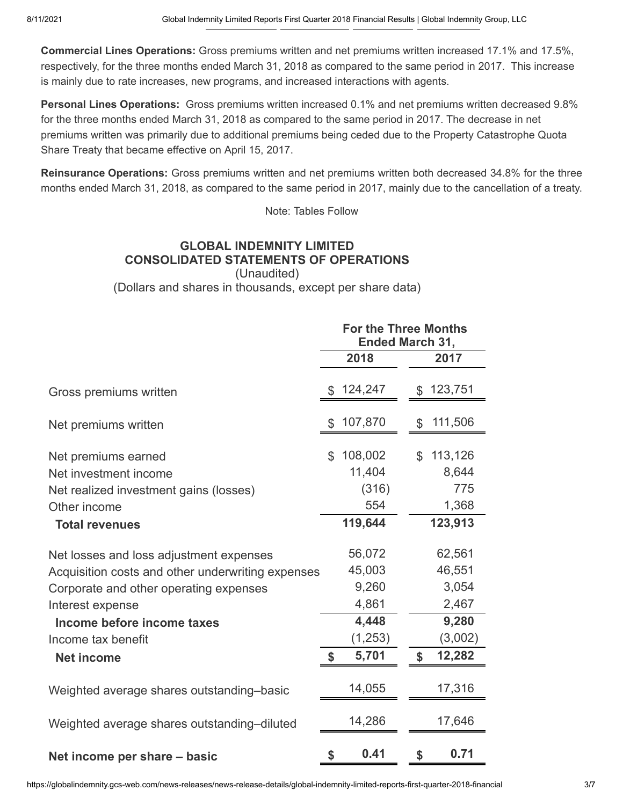**Commercial Lines Operations:** Gross premiums written and net premiums written increased 17.1% and 17.5%, respectively, for the three months ended March 31, 2018 as compared to the same period in 2017. This increase is mainly due to rate increases, new programs, and increased interactions with agents.

**Personal Lines Operations:** Gross premiums written increased 0.1% and net premiums written decreased 9.8% for the three months ended March 31, 2018 as compared to the same period in 2017. The decrease in net premiums written was primarily due to additional premiums being ceded due to the Property Catastrophe Quota Share Treaty that became effective on April 15, 2017.

**Reinsurance Operations:** Gross premiums written and net premiums written both decreased 34.8% for the three months ended March 31, 2018, as compared to the same period in 2017, mainly due to the cancellation of a treaty.

Note: Tables Follow

### **GLOBAL INDEMNITY LIMITED CONSOLIDATED STATEMENTS OF OPERATIONS** (Unaudited)

(Dollars and shares in thousands, except per share data)

|                                                   |               | <b>For the Three Months</b><br>Ended March 31, |               |         |
|---------------------------------------------------|---------------|------------------------------------------------|---------------|---------|
|                                                   |               | 2018                                           |               | 2017    |
| Gross premiums written                            | $\mathbb{S}$  | 124,247                                        | \$            | 123,751 |
| Net premiums written                              | $\mathcal{L}$ | 107,870                                        | \$            | 111,506 |
| Net premiums earned                               | \$            | 108,002                                        | $\mathcal{L}$ | 113,126 |
| Net investment income                             |               | 11,404                                         |               | 8,644   |
| Net realized investment gains (losses)            |               | (316)                                          |               | 775     |
| Other income                                      |               | 554                                            |               | 1,368   |
| <b>Total revenues</b>                             |               | 119,644                                        |               | 123,913 |
| Net losses and loss adjustment expenses           |               | 56,072                                         |               | 62,561  |
| Acquisition costs and other underwriting expenses |               | 45,003                                         |               | 46,551  |
| Corporate and other operating expenses            |               | 9,260                                          |               | 3,054   |
| Interest expense                                  |               | 4,861                                          |               | 2,467   |
| Income before income taxes                        |               | 4,448                                          |               | 9,280   |
| Income tax benefit                                |               | (1, 253)                                       |               | (3,002) |
| <b>Net income</b>                                 | \$            | 5,701                                          | \$            | 12,282  |
| Weighted average shares outstanding-basic         |               | 14,055                                         |               | 17,316  |
| Weighted average shares outstanding-diluted       |               | 14,286                                         |               | 17,646  |
| Net income per share - basic                      | \$            | 0.41                                           | \$            | 0.71    |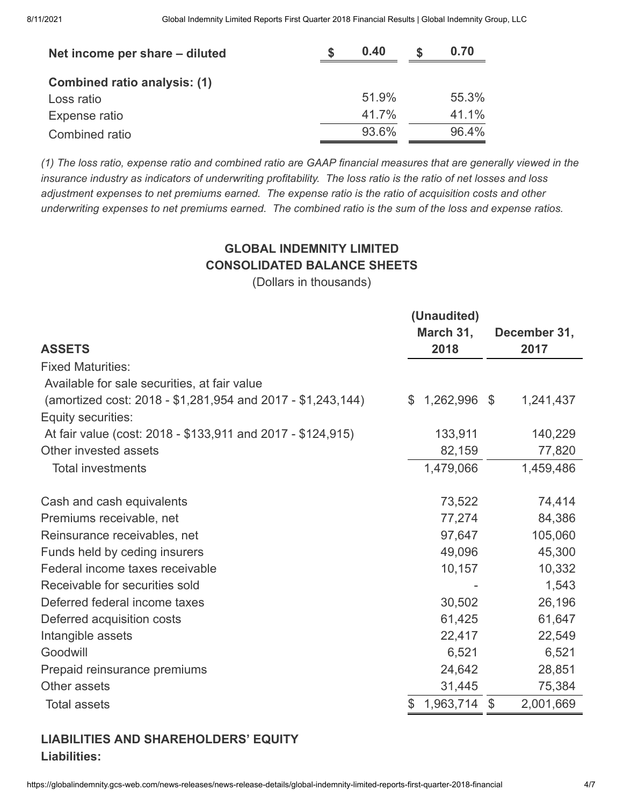| Net income per share – diluted      | 0.40<br>S |       | 0.70  |
|-------------------------------------|-----------|-------|-------|
| <b>Combined ratio analysis: (1)</b> |           |       |       |
| Loss ratio                          |           | 51.9% | 55.3% |
| Expense ratio                       |           | 41.7% | 41.1% |
| Combined ratio                      |           | 93.6% | 96.4% |

*(1) The loss ratio, expense ratio and combined ratio are GAAP financial measures that are generally viewed in the insurance industry as indicators of underwriting profitability. The loss ratio is the ratio of net losses and loss adjustment expenses to net premiums earned. The expense ratio is the ratio of acquisition costs and other underwriting expenses to net premiums earned. The combined ratio is the sum of the loss and expense ratios.*

## **GLOBAL INDEMNITY LIMITED CONSOLIDATED BALANCE SHEETS**

(Dollars in thousands)

|                                                             |                | (Unaudited)  |               |              |
|-------------------------------------------------------------|----------------|--------------|---------------|--------------|
|                                                             |                | March 31,    |               | December 31, |
| <b>ASSETS</b>                                               |                | 2018         |               | 2017         |
| <b>Fixed Maturities:</b>                                    |                |              |               |              |
| Available for sale securities, at fair value                |                |              |               |              |
| (amortized cost: 2018 - \$1,281,954 and 2017 - \$1,243,144) | $\mathbb{S}^-$ | 1,262,996 \$ |               | 1,241,437    |
| Equity securities:                                          |                |              |               |              |
| At fair value (cost: 2018 - \$133,911 and 2017 - \$124,915) |                | 133,911      |               | 140,229      |
| Other invested assets                                       |                | 82,159       |               | 77,820       |
| <b>Total investments</b>                                    |                | 1,479,066    |               | 1,459,486    |
| Cash and cash equivalents                                   |                | 73,522       |               | 74,414       |
| Premiums receivable, net                                    |                | 77,274       |               | 84,386       |
| Reinsurance receivables, net                                |                | 97,647       |               | 105,060      |
| Funds held by ceding insurers                               |                | 49,096       |               | 45,300       |
| Federal income taxes receivable                             |                | 10,157       |               | 10,332       |
| Receivable for securities sold                              |                |              |               | 1,543        |
| Deferred federal income taxes                               |                | 30,502       |               | 26,196       |
| Deferred acquisition costs                                  |                | 61,425       |               | 61,647       |
| Intangible assets                                           |                | 22,417       |               | 22,549       |
| Goodwill                                                    |                | 6,521        |               | 6,521        |
| Prepaid reinsurance premiums                                |                | 24,642       |               | 28,851       |
| Other assets                                                |                | 31,445       |               | 75,384       |
| <b>Total assets</b>                                         | \$             | 1,963,714    | $\mathcal{L}$ | 2,001,669    |

## **LIABILITIES AND SHAREHOLDERS' EQUITY Liabilities:**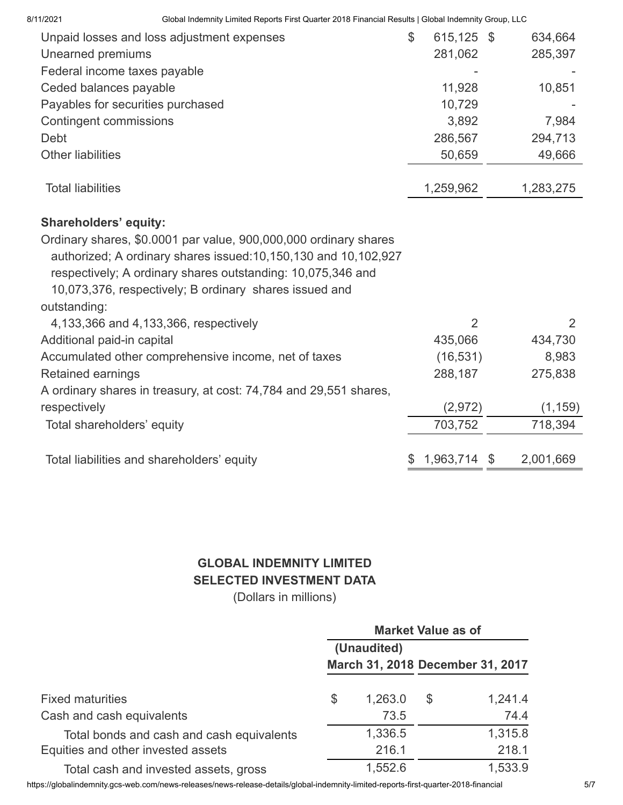|  | 8/11/2021 |
|--|-----------|
|  |           |

Global Indemnity Limited Reports First Quarter 2018 Financial Results | Global Indemnity Group, LLC

| Unpaid losses and loss adjustment expenses<br>Unearned premiums<br>Federal income taxes payable<br>Ceded balances payable<br>Payables for securities purchased<br>Contingent commissions                                                                                                                         | $\mathcal{L}$ | 615,125 \$<br>281,062<br>11,928<br>10,729<br>3,892 |      | 634,664<br>285,397<br>10,851<br>7,984 |
|------------------------------------------------------------------------------------------------------------------------------------------------------------------------------------------------------------------------------------------------------------------------------------------------------------------|---------------|----------------------------------------------------|------|---------------------------------------|
| Debt                                                                                                                                                                                                                                                                                                             |               | 286,567                                            |      | 294,713                               |
| <b>Other liabilities</b>                                                                                                                                                                                                                                                                                         |               | 50,659                                             |      | 49,666                                |
| <b>Total liabilities</b>                                                                                                                                                                                                                                                                                         |               | 1,259,962                                          |      | 1,283,275                             |
| <b>Shareholders' equity:</b><br>Ordinary shares, \$0.0001 par value, 900,000,000 ordinary shares<br>authorized; A ordinary shares issued: 10, 150, 130 and 10, 102, 927<br>respectively; A ordinary shares outstanding: 10,075,346 and<br>10,073,376, respectively; B ordinary shares issued and<br>outstanding: |               |                                                    |      |                                       |
| 4,133,366 and 4,133,366, respectively                                                                                                                                                                                                                                                                            |               | $\overline{2}$                                     |      | 2                                     |
| Additional paid-in capital                                                                                                                                                                                                                                                                                       |               | 435,066                                            |      | 434,730                               |
| Accumulated other comprehensive income, net of taxes                                                                                                                                                                                                                                                             |               | (16, 531)                                          |      | 8,983                                 |
| <b>Retained earnings</b>                                                                                                                                                                                                                                                                                         |               | 288,187                                            |      | 275,838                               |
| A ordinary shares in treasury, at cost: 74,784 and 29,551 shares,                                                                                                                                                                                                                                                |               |                                                    |      |                                       |
| respectively                                                                                                                                                                                                                                                                                                     |               | (2, 972)                                           |      | (1, 159)                              |
| Total shareholders' equity                                                                                                                                                                                                                                                                                       |               | 703,752                                            |      | 718,394                               |
| Total liabilities and shareholders' equity                                                                                                                                                                                                                                                                       | \$            | 1,963,714                                          | - \$ | 2,001,669                             |

# **GLOBAL INDEMNITY LIMITED SELECTED INVESTMENT DATA**

(Dollars in millions)

|                                           | <b>Market Value as of</b> |                                  |         |  |
|-------------------------------------------|---------------------------|----------------------------------|---------|--|
|                                           | (Unaudited)               |                                  |         |  |
|                                           |                           | March 31, 2018 December 31, 2017 |         |  |
| <b>Fixed maturities</b>                   | \$<br>1,263.0             | \$                               | 1,241.4 |  |
| Cash and cash equivalents                 | 73.5                      |                                  | 74.4    |  |
| Total bonds and cash and cash equivalents | 1,336.5                   |                                  | 1,315.8 |  |
| Equities and other invested assets        | 216.1                     |                                  | 218.1   |  |
| Total cash and invested assets, gross     | 1,552.6                   |                                  | 1,533.9 |  |

https://globalindemnity.gcs-web.com/news-releases/news-release-details/global-indemnity-limited-reports-first-quarter-2018-financial 5/7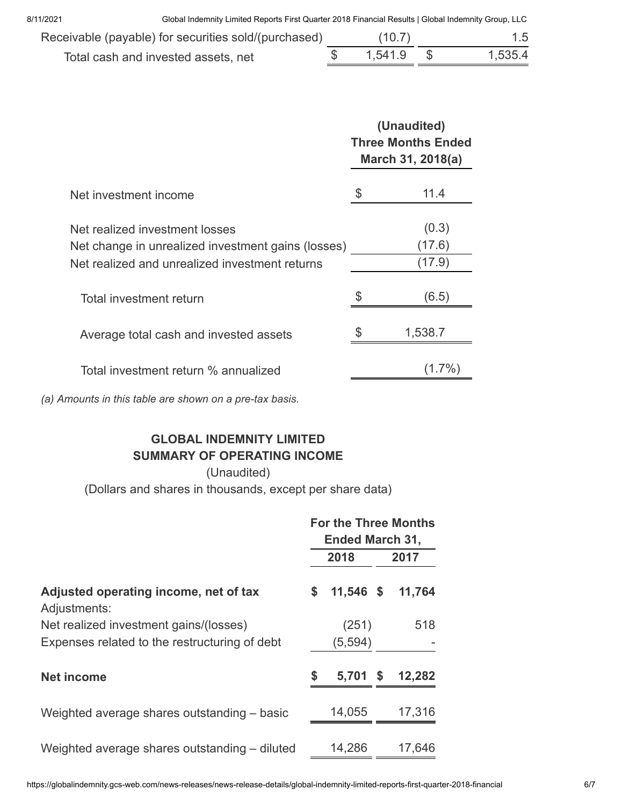| Receivable (payable) for securities sold/(purchased) | (10.7)  | 1.5     |
|------------------------------------------------------|---------|---------|
| Total cash and invested assets, net                  | 1.541.9 | 1,535.4 |

|                                                                                      | (Unaudited)<br><b>Three Months Ended</b><br>March 31, 2018(a) |  |  |  |
|--------------------------------------------------------------------------------------|---------------------------------------------------------------|--|--|--|
| Net investment income                                                                | \$<br>11.4                                                    |  |  |  |
| Net realized investment losses<br>Net change in unrealized investment gains (losses) | (0.3)<br>(17.6)                                               |  |  |  |
| Net realized and unrealized investment returns<br>Total investment return            | (17.9)<br>(6.5)                                               |  |  |  |
| Average total cash and invested assets                                               | 1,538.7                                                       |  |  |  |
| Total investment return % annualized                                                 |                                                               |  |  |  |

*(a) Amounts in this table are shown on a pre-tax basis.*

### **GLOBAL INDEMNITY LIMITED SUMMARY OF OPERATING INCOME**

(Unaudited) (Dollars and shares in thousands, except per share data)

|                                                       |    | <b>For the Three Months</b><br><b>Ended March 31,</b> |   |        |
|-------------------------------------------------------|----|-------------------------------------------------------|---|--------|
|                                                       |    | 2018                                                  |   | 2017   |
| Adjusted operating income, net of tax<br>Adjustments: | \$ | 11,546 \$                                             |   | 11,764 |
| Net realized investment gains/(losses)                |    | (251)                                                 |   | 518    |
| Expenses related to the restructuring of debt         |    | (5,594)                                               |   |        |
| <b>Net income</b>                                     | S  | 5,701                                                 | S | 12,282 |
| Weighted average shares outstanding – basic           |    | 14,055                                                |   | 17,316 |
| Weighted average shares outstanding – diluted         |    | 14,286                                                |   | 17,646 |